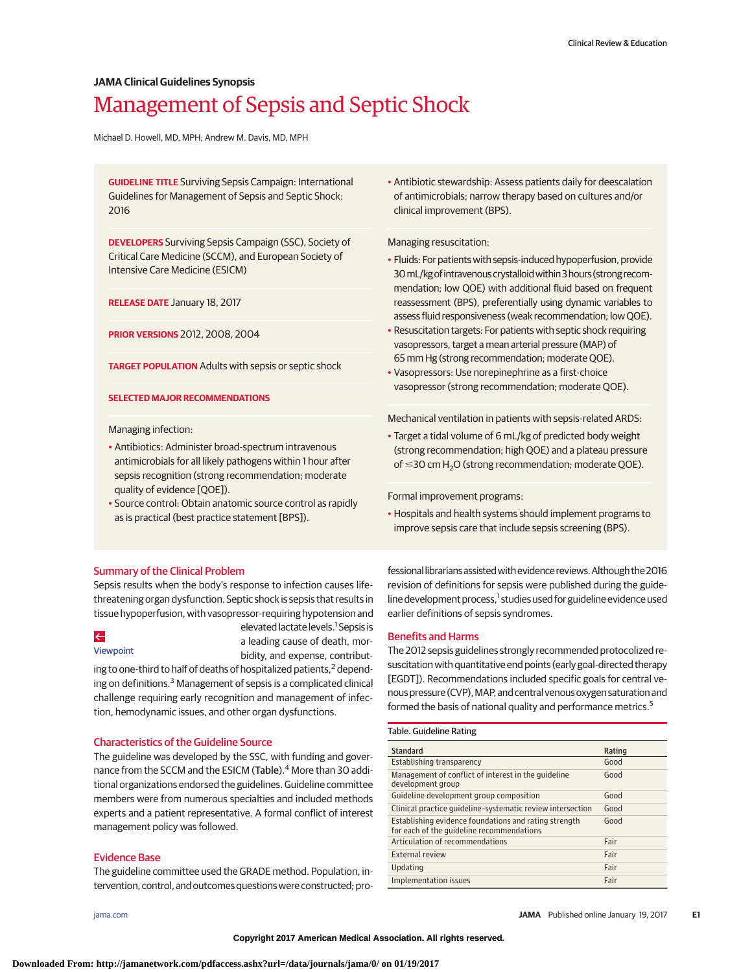# **JAMA Clinical Guidelines Synopsis**

# Management of Sepsis and Septic Shock

Michael D. Howell, MD, MPH; Andrew M. Davis, MD, MPH

**GUIDELINE TITLE** Surviving Sepsis Campaign: International Guidelines for Management of Sepsis and Septic Shock: 2016

**DEVELOPERS** Surviving Sepsis Campaign (SSC), Society of Critical Care Medicine (SCCM), and European Society of Intensive Care Medicine (ESICM)

**RELEASE DATE** January 18, 2017

**PRIOR VERSIONS** 2012, 2008, 2004

**TARGET POPULATION** Adults with sepsis or septic shock

#### **SELECTED MAJOR RECOMMENDATIONS**

Managing infection:

- Antibiotics: Administer broad-spectrum intravenous antimicrobials for all likely pathogens within 1 hour after sepsis recognition (strong recommendation; moderate quality of evidence [QOE]).
- Source control: Obtain anatomic source control as rapidly as is practical (best practice statement [BPS]).

• Antibiotic stewardship: Assess patients daily for deescalation of antimicrobials; narrow therapy based on cultures and/or clinical improvement (BPS).

Managing resuscitation:

- Fluids: For patients with sepsis-induced hypoperfusion, provide 30mL/kgofintravenouscrystalloidwithin3hours (strong recommendation; low QOE) with additional fluid based on frequent reassessment (BPS), preferentially using dynamic variables to assess fluid responsiveness (weak recommendation; low QOE).
- Resuscitation targets: For patients with septic shock requiring vasopressors, target a mean arterial pressure (MAP) of 65 mm Hg (strong recommendation; moderate QOE).
- Vasopressors: Use norepinephrine as a first-choice vasopressor (strong recommendation; moderate QOE).

Mechanical ventilation in patients with sepsis-related ARDS:

• Target a tidal volume of 6 mL/kg of predicted body weight (strong recommendation; high QOE) and a plateau pressure of  $\leq$ 30 cm H<sub>2</sub>O (strong recommendation; moderate QOE).

Formal improvement programs:

• Hospitals and health systems should implement programs to improve sepsis care that include sepsis screening (BPS).

## Summary of the Clinical Problem

Sepsis results when the body's response to infection causes lifethreatening organ dysfunction. Septic shock is sepsis that results in tissue hypoperfusion, with vasopressor-requiring hypotension and

## $\leftarrow$

[Viewpoint](http://jama.jamanetwork.com/article.aspx?doi=10.1001/jama.2017.0059&utm_campaign=articlePDF%26utm_medium=articlePDFlink%26utm_source=articlePDF%26utm_content=jama.2017.0131)

elevated lactate levels.<sup>1</sup> Sepsis is a leading cause of death, morbidity, and expense, contribut-

ing to one-third to half of deaths of hospitalized patients,<sup>2</sup> depending on definitions.<sup>3</sup> Management of sepsis is a complicated clinical challenge requiring early recognition and management of infection, hemodynamic issues, and other organ dysfunctions.

## Characteristics of the Guideline Source

The guideline was developed by the SSC, with funding and governance from the SCCM and the ESICM (Table).<sup>4</sup> More than 30 additional organizations endorsed the guidelines. Guideline committee members were from numerous specialties and included methods experts and a patient representative. A formal conflict of interest management policy was followed.

# Evidence Base

The guideline committee used the GRADE method. Population, intervention, control, and outcomes questions were constructed; pro-

fessional librarians assisted with evidence reviews. Although the 2016 revision of definitions for sepsis were published during the guideline development process,<sup>1</sup> studies used for guideline evidence used earlier definitions of sepsis syndromes.

## Benefits and Harms

The 2012 sepsis guidelines strongly recommended protocolized resuscitation with quantitative end points (early goal-directed therapy [EGDT]). Recommendations included specific goals for central venous pressure (CVP), MAP, and central venous oxygen saturation and formed the basis of national quality and performance metrics.<sup>5</sup>

#### Table. Guideline Rating

| Standard                                                                                           | Rating |
|----------------------------------------------------------------------------------------------------|--------|
| Establishing transparency                                                                          | Good   |
| Management of conflict of interest in the quideline<br>development group                           | Good   |
| Guideline development group composition                                                            | Good   |
| Clinical practice quideline-systematic review intersection                                         | Good   |
| Establishing evidence foundations and rating strength<br>for each of the quideline recommendations | Good   |
| Articulation of recommendations                                                                    | Fair   |
| <b>External review</b>                                                                             | Fair   |
| Updating                                                                                           | Fair   |
| Implementation issues                                                                              | Fair   |